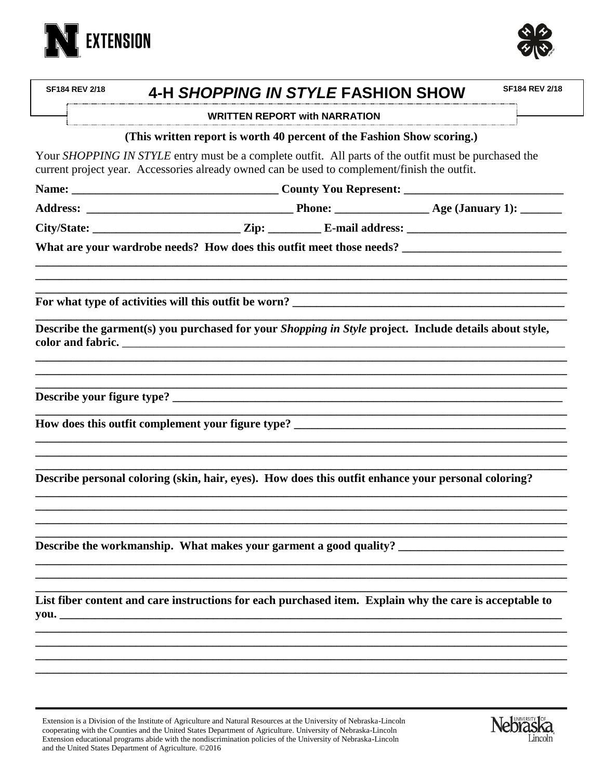



| <b>SF184 REV 2/18</b> | 4-H SHOPPING IN STYLE FASHION SHOW                                                                                                                                                                    |                                      | <b>SF184 REV 2/18</b> |
|-----------------------|-------------------------------------------------------------------------------------------------------------------------------------------------------------------------------------------------------|--------------------------------------|-----------------------|
|                       |                                                                                                                                                                                                       | <b>WRITTEN REPORT with NARRATION</b> |                       |
|                       | (This written report is worth 40 percent of the Fashion Show scoring.)                                                                                                                                |                                      |                       |
|                       | Your SHOPPING IN STYLE entry must be a complete outfit. All parts of the outfit must be purchased the<br>current project year. Accessories already owned can be used to complement/finish the outfit. |                                      |                       |
|                       |                                                                                                                                                                                                       |                                      |                       |
|                       |                                                                                                                                                                                                       |                                      |                       |
|                       |                                                                                                                                                                                                       |                                      |                       |
|                       |                                                                                                                                                                                                       |                                      |                       |
|                       |                                                                                                                                                                                                       |                                      |                       |
|                       | Describe the garment(s) you purchased for your Shopping in Style project. Include details about style,                                                                                                |                                      |                       |
|                       |                                                                                                                                                                                                       |                                      |                       |
|                       |                                                                                                                                                                                                       |                                      |                       |
|                       | Describe personal coloring (skin, hair, eyes). How does this outfit enhance your personal coloring?                                                                                                   |                                      |                       |
|                       | Describe the workmanship. What makes your garment a good quality? __________________________________                                                                                                  |                                      |                       |
|                       | List fiber content and care instructions for each purchased item. Explain why the care is acceptable to                                                                                               |                                      |                       |
|                       |                                                                                                                                                                                                       |                                      |                       |
|                       |                                                                                                                                                                                                       |                                      |                       |
|                       | Extension is a Division of the Institute of Agriculture and Natural Resources at the University of Nebraska-Lincoln                                                                                   |                                      | No LUNIVERSITY 1 OF   |

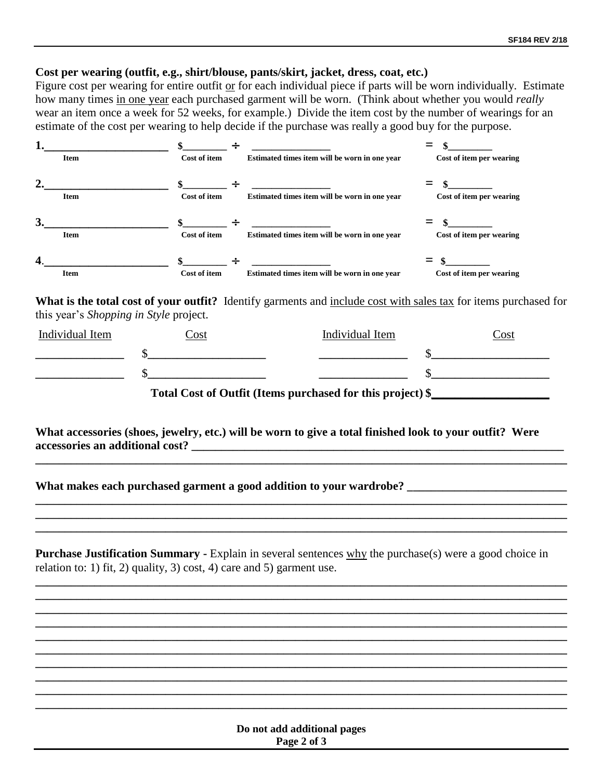## **Cost per wearing (outfit, e.g., shirt/blouse, pants/skirt, jacket, dress, coat, etc.)**

Figure cost per wearing for entire outfit or for each individual piece if parts will be worn individually. Estimate how many times in one year each purchased garment will be worn. (Think about whether you would *really* wear an item once a week for 52 weeks, for example.) Divide the item cost by the number of wearings for an estimate of the cost per wearing to help decide if the purchase was really a good buy for the purpose.

|                  | <b>Item</b> | <b>Cost of item</b>          | Estimated times item will be worn in one year | Cost of item per wearing |
|------------------|-------------|------------------------------|-----------------------------------------------|--------------------------|
|                  | <b>Item</b> | $\mathbf{s}$<br>Cost of item | Estimated times item will be worn in one year | Cost of item per wearing |
| 3.               | <b>Item</b> | Cost of item                 | Estimated times item will be worn in one year | Cost of item per wearing |
| $\boldsymbol{4}$ | <b>Item</b> | <b>Cost of item</b>          | Estimated times item will be worn in one year | Cost of item per wearing |

**What is the total cost of your outfit?** Identify garments and include cost with sales tax for items purchased for this year's *Shopping in Style* project.

| Individual Item                                            | <br>Ost | Individual Item<br>.`ost |  |  |  |  |  |  |
|------------------------------------------------------------|---------|--------------------------|--|--|--|--|--|--|
|                                                            |         |                          |  |  |  |  |  |  |
|                                                            |         |                          |  |  |  |  |  |  |
| Total Cost of Outfit (Items purchased for this project) \$ |         |                          |  |  |  |  |  |  |

**What accessories (shoes, jewelry, etc.) will be worn to give a total finished look to your outfit? Were accessories an additional cost? \_\_\_\_\_\_\_\_\_\_\_\_\_\_\_\_\_\_\_\_\_\_\_\_\_\_\_\_\_\_\_\_\_\_\_\_\_\_\_\_\_\_\_\_\_\_\_\_\_\_\_\_\_\_\_\_\_\_\_\_\_\_\_**

**\_\_\_\_\_\_\_\_\_\_\_\_\_\_\_\_\_\_\_\_\_\_\_\_\_\_\_\_\_\_\_\_\_\_\_\_\_\_\_\_\_\_\_\_\_\_\_\_\_\_\_\_\_\_\_\_\_\_\_\_\_\_\_\_\_\_\_\_\_\_\_\_\_\_\_\_\_\_\_\_\_\_\_\_\_\_\_\_\_\_**

**\_\_\_\_\_\_\_\_\_\_\_\_\_\_\_\_\_\_\_\_\_\_\_\_\_\_\_\_\_\_\_\_\_\_\_\_\_\_\_\_\_\_\_\_\_\_\_\_\_\_\_\_\_\_\_\_\_\_\_\_\_\_\_\_\_\_\_\_\_\_\_\_\_\_\_\_\_\_\_\_\_\_\_\_\_\_\_\_\_\_ \_\_\_\_\_\_\_\_\_\_\_\_\_\_\_\_\_\_\_\_\_\_\_\_\_\_\_\_\_\_\_\_\_\_\_\_\_\_\_\_\_\_\_\_\_\_\_\_\_\_\_\_\_\_\_\_\_\_\_\_\_\_\_\_\_\_\_\_\_\_\_\_\_\_\_\_\_\_\_\_\_\_\_\_\_\_\_\_\_\_ \_\_\_\_\_\_\_\_\_\_\_\_\_\_\_\_\_\_\_\_\_\_\_\_\_\_\_\_\_\_\_\_\_\_\_\_\_\_\_\_\_\_\_\_\_\_\_\_\_\_\_\_\_\_\_\_\_\_\_\_\_\_\_\_\_\_\_\_\_\_\_\_\_\_\_\_\_\_\_\_\_\_\_\_\_\_\_\_\_\_**

What makes each purchased garment a good addition to your wardrobe?

**Purchase Justification Summary -** Explain in several sentences why the purchase(s) were a good choice in relation to: 1) fit, 2) quality, 3) cost, 4) care and 5) garment use.

**\_\_\_\_\_\_\_\_\_\_\_\_\_\_\_\_\_\_\_\_\_\_\_\_\_\_\_\_\_\_\_\_\_\_\_\_\_\_\_\_\_\_\_\_\_\_\_\_\_\_\_\_\_\_\_\_\_\_\_\_\_\_\_\_\_\_\_\_\_\_\_\_\_\_\_\_\_\_\_\_\_\_\_\_\_\_\_\_\_\_ \_\_\_\_\_\_\_\_\_\_\_\_\_\_\_\_\_\_\_\_\_\_\_\_\_\_\_\_\_\_\_\_\_\_\_\_\_\_\_\_\_\_\_\_\_\_\_\_\_\_\_\_\_\_\_\_\_\_\_\_\_\_\_\_\_\_\_\_\_\_\_\_\_\_\_\_\_\_\_\_\_\_\_\_\_\_\_\_\_\_ \_\_\_\_\_\_\_\_\_\_\_\_\_\_\_\_\_\_\_\_\_\_\_\_\_\_\_\_\_\_\_\_\_\_\_\_\_\_\_\_\_\_\_\_\_\_\_\_\_\_\_\_\_\_\_\_\_\_\_\_\_\_\_\_\_\_\_\_\_\_\_\_\_\_\_\_\_\_\_\_\_\_\_\_\_\_\_\_\_\_ \_\_\_\_\_\_\_\_\_\_\_\_\_\_\_\_\_\_\_\_\_\_\_\_\_\_\_\_\_\_\_\_\_\_\_\_\_\_\_\_\_\_\_\_\_\_\_\_\_\_\_\_\_\_\_\_\_\_\_\_\_\_\_\_\_\_\_\_\_\_\_\_\_\_\_\_\_\_\_\_\_\_\_\_\_\_\_\_\_\_ \_\_\_\_\_\_\_\_\_\_\_\_\_\_\_\_\_\_\_\_\_\_\_\_\_\_\_\_\_\_\_\_\_\_\_\_\_\_\_\_\_\_\_\_\_\_\_\_\_\_\_\_\_\_\_\_\_\_\_\_\_\_\_\_\_\_\_\_\_\_\_\_\_\_\_\_\_\_\_\_\_\_\_\_\_\_\_\_\_\_ \_\_\_\_\_\_\_\_\_\_\_\_\_\_\_\_\_\_\_\_\_\_\_\_\_\_\_\_\_\_\_\_\_\_\_\_\_\_\_\_\_\_\_\_\_\_\_\_\_\_\_\_\_\_\_\_\_\_\_\_\_\_\_\_\_\_\_\_\_\_\_\_\_\_\_\_\_\_\_\_\_\_\_\_\_\_\_\_\_\_ \_\_\_\_\_\_\_\_\_\_\_\_\_\_\_\_\_\_\_\_\_\_\_\_\_\_\_\_\_\_\_\_\_\_\_\_\_\_\_\_\_\_\_\_\_\_\_\_\_\_\_\_\_\_\_\_\_\_\_\_\_\_\_\_\_\_\_\_\_\_\_\_\_\_\_\_\_\_\_\_\_\_\_\_\_\_\_\_\_\_ \_\_\_\_\_\_\_\_\_\_\_\_\_\_\_\_\_\_\_\_\_\_\_\_\_\_\_\_\_\_\_\_\_\_\_\_\_\_\_\_\_\_\_\_\_\_\_\_\_\_\_\_\_\_\_\_\_\_\_\_\_\_\_\_\_\_\_\_\_\_\_\_\_\_\_\_\_\_\_\_\_\_\_\_\_\_\_\_\_\_ \_\_\_\_\_\_\_\_\_\_\_\_\_\_\_\_\_\_\_\_\_\_\_\_\_\_\_\_\_\_\_\_\_\_\_\_\_\_\_\_\_\_\_\_\_\_\_\_\_\_\_\_\_\_\_\_\_\_\_\_\_\_\_\_\_\_\_\_\_\_\_\_\_\_\_\_\_\_\_\_\_\_\_\_\_\_\_\_\_\_ \_\_\_\_\_\_\_\_\_\_\_\_\_\_\_\_\_\_\_\_\_\_\_\_\_\_\_\_\_\_\_\_\_\_\_\_\_\_\_\_\_\_\_\_\_\_\_\_\_\_\_\_\_\_\_\_\_\_\_\_\_\_\_\_\_\_\_\_\_\_\_\_\_\_\_\_\_\_\_\_\_\_\_\_\_\_\_\_\_\_**